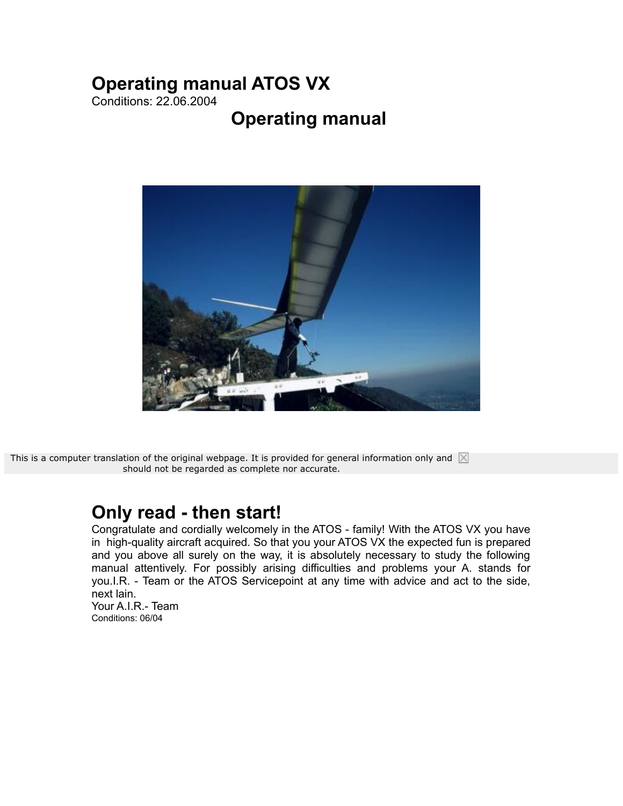# **Operating manual ATOS VX**

Conditions: 22.06.2004

# **Operating manual**



This is a computer translation of the original webpage. It is provided for general information only and  $\boxtimes$ should not be regarded as complete nor accurate.

## **Only read - then start!**

Congratulate and cordially welcomely in the ATOS - family! With the ATOS VX you have in high-quality aircraft acquired. So that you your ATOS VX the expected fun is prepared and you above all surely on the way, it is absolutely necessary to study the following manual attentively. For possibly arising difficulties and problems your A. stands for you.I.R. - Team or the ATOS Servicepoint at any time with advice and act to the side, next lain. Your A.I.R.- Team Conditions: 06/04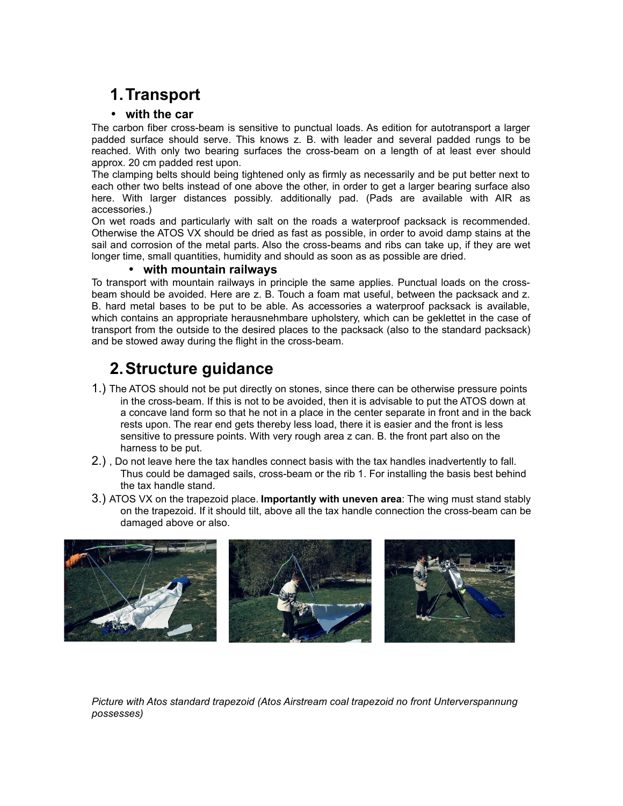# **1.Transport**

#### • **with the car**

The carbon fiber cross-beam is sensitive to punctual loads. As edition for autotransport a larger padded surface should serve. This knows z. B. with leader and several padded rungs to be reached. With only two bearing surfaces the cross-beam on a length of at least ever should approx. 20 cm padded rest upon.

The clamping belts should being tightened only as firmly as necessarily and be put better next to each other two belts instead of one above the other, in order to get a larger bearing surface also here. With larger distances possibly. additionally pad. (Pads are available with AIR as accessories.)

On wet roads and particularly with salt on the roads a waterproof packsack is recommended. Otherwise the ATOS VX should be dried as fast as possible, in order to avoid damp stains at the sail and corrosion of the metal parts. Also the cross-beams and ribs can take up, if they are wet longer time, small quantities, humidity and should as soon as as possible are dried.

#### • **with mountain railways**

To transport with mountain railways in principle the same applies. Punctual loads on the crossbeam should be avoided. Here are z. B. Touch a foam mat useful, between the packsack and z. B. hard metal bases to be put to be able. As accessories a waterproof packsack is available, which contains an appropriate herausnehmbare upholstery, which can be geklettet in the case of transport from the outside to the desired places to the packsack (also to the standard packsack) and be stowed away during the flight in the cross-beam.

## **2.Structure guidance**

- 1.) The ATOS should not be put directly on stones, since there can be otherwise pressure points in the cross-beam. If this is not to be avoided, then it is advisable to put the ATOS down at a concave land form so that he not in a place in the center separate in front and in the back rests upon. The rear end gets thereby less load, there it is easier and the front is less sensitive to pressure points. With very rough area z can. B. the front part also on the harness to be put.
- 2.) , Do not leave here the tax handles connect basis with the tax handles inadvertently to fall. Thus could be damaged sails, cross-beam or the rib 1. For installing the basis best behind the tax handle stand.
- 3.) ATOS VX on the trapezoid place. **Importantly with uneven area**: The wing must stand stably on the trapezoid. If it should tilt, above all the tax handle connection the cross-beam can be damaged above or also.



*Picture with Atos standard trapezoid (Atos Airstream coal trapezoid no front Unterverspannung possesses)*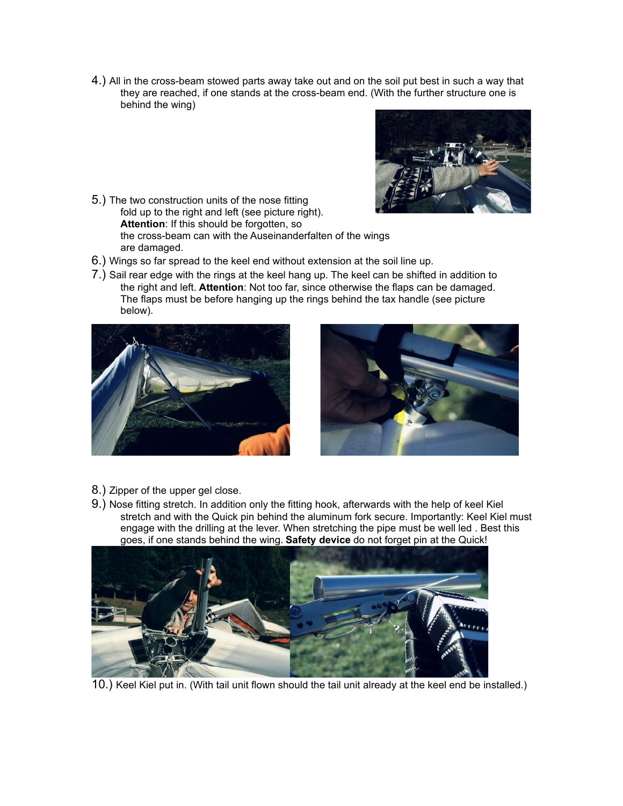4.) All in the cross-beam stowed parts away take out and on the soil put best in such a way that they are reached, if one stands at the cross-beam end. (With the further structure one is behind the wing)



- 5.) The two construction units of the nose fitting fold up to the right and left (see picture right). **Attention**: If this should be forgotten, so the cross-beam can with the Auseinanderfalten of the wings are damaged.
- 6.) Wings so far spread to the keel end without extension at the soil line up.
- 7.) Sail rear edge with the rings at the keel hang up. The keel can be shifted in addition to the right and left. **Attention**: Not too far, since otherwise the flaps can be damaged. The flaps must be before hanging up the rings behind the tax handle (see picture below).





- 8.) Zipper of the upper gel close.
- 9.) Nose fitting stretch. In addition only the fitting hook, afterwards with the help of keel Kiel stretch and with the Quick pin behind the aluminum fork secure. Importantly: Keel Kiel must engage with the drilling at the lever. When stretching the pipe must be well led . Best this goes, if one stands behind the wing. **Safety device** do not forget pin at the Quick!



10.) Keel Kiel put in. (With tail unit flown should the tail unit already at the keel end be installed.)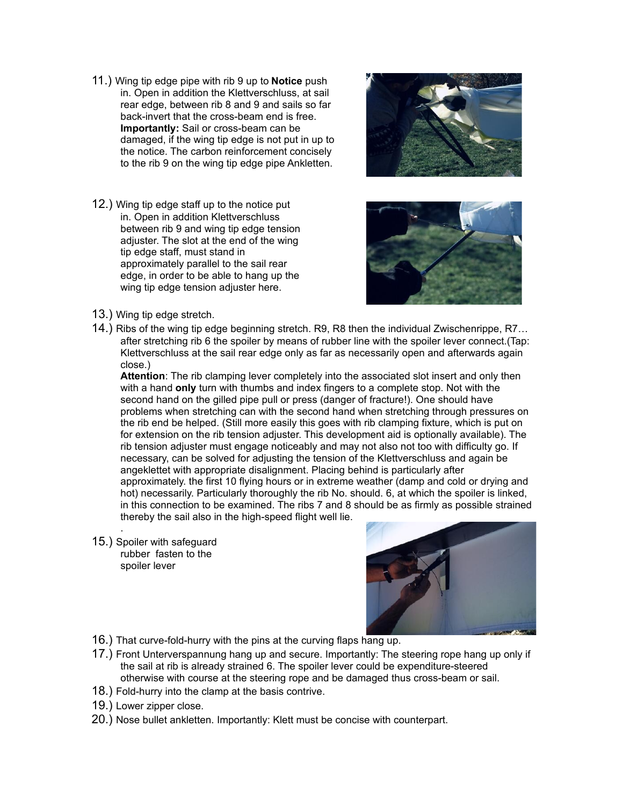- 11.) Wing tip edge pipe with rib 9 up to **Notice** push in. Open in addition the Klettverschluss, at sail rear edge, between rib 8 and 9 and sails so far back-invert that the cross-beam end is free. **Importantly:** Sail or cross-beam can be damaged, if the wing tip edge is not put in up to the notice. The carbon reinforcement concisely to the rib 9 on the wing tip edge pipe Ankletten.
- 12.) Wing tip edge staff up to the notice put in. Open in addition Klettverschluss between rib 9 and wing tip edge tension adjuster. The slot at the end of the wing tip edge staff, must stand in approximately parallel to the sail rear edge, in order to be able to hang up the wing tip edge tension adjuster here.





- 13.) Wing tip edge stretch.
- 14.) Ribs of the wing tip edge beginning stretch. R9, R8 then the individual Zwischenrippe, R7… after stretching rib 6 the spoiler by means of rubber line with the spoiler lever connect.(Tap: Klettverschluss at the sail rear edge only as far as necessarily open and afterwards again close.)

**Attention**: The rib clamping lever completely into the associated slot insert and only then with a hand **only** turn with thumbs and index fingers to a complete stop. Not with the second hand on the gilled pipe pull or press (danger of fracture!). One should have problems when stretching can with the second hand when stretching through pressures on the rib end be helped. (Still more easily this goes with rib clamping fixture, which is put on for extension on the rib tension adjuster. This development aid is optionally available). The rib tension adjuster must engage noticeably and may not also not too with difficulty go. If necessary, can be solved for adjusting the tension of the Klettverschluss and again be angeklettet with appropriate disalignment. Placing behind is particularly after approximately. the first 10 flying hours or in extreme weather (damp and cold or drying and hot) necessarily. Particularly thoroughly the rib No. should. 6, at which the spoiler is linked, in this connection to be examined. The ribs 7 and 8 should be as firmly as possible strained thereby the sail also in the high-speed flight well lie.

15.) Spoiler with safeguard rubber fasten to the spoiler lever

.



- 16.) That curve-fold-hurry with the pins at the curving flaps hang up.
- 17.) Front Unterverspannung hang up and secure. Importantly: The steering rope hang up only if the sail at rib is already strained 6. The spoiler lever could be expenditure-steered otherwise with course at the steering rope and be damaged thus cross-beam or sail.
- 18.) Fold-hurry into the clamp at the basis contrive.
- 19.) Lower zipper close.
- 20.) Nose bullet ankletten. Importantly: Klett must be concise with counterpart.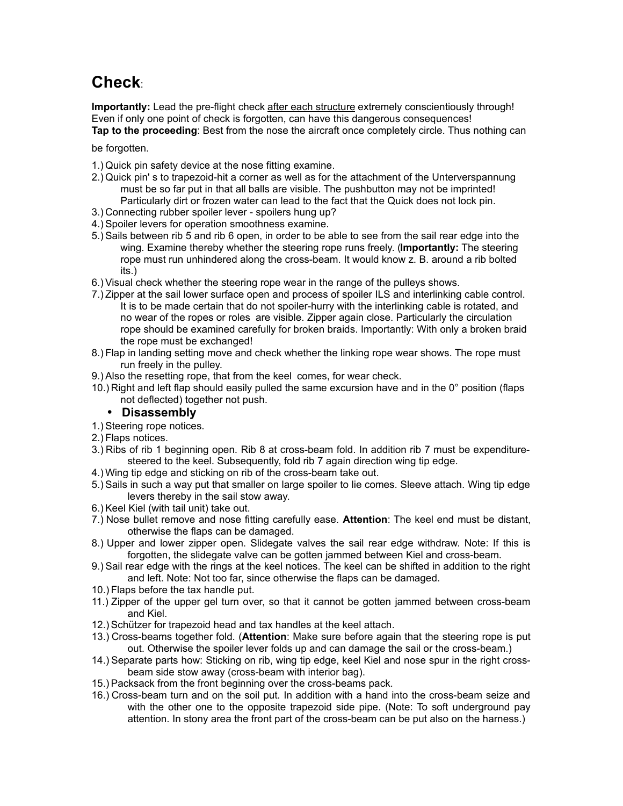# **Check**:

**Importantly:** Lead the pre-flight check after each structure extremely conscientiously through! Even if only one point of check is forgotten, can have this dangerous consequences! **Tap to the proceeding**: Best from the nose the aircraft once completely circle. Thus nothing can

be forgotten.

- 1.) Quick pin safety device at the nose fitting examine.
- 2.) Quick pin' s to trapezoid-hit a corner as well as for the attachment of the Unterverspannung must be so far put in that all balls are visible. The pushbutton may not be imprinted! Particularly dirt or frozen water can lead to the fact that the Quick does not lock pin.
- 3.) Connecting rubber spoiler lever spoilers hung up?
- 4.) Spoiler levers for operation smoothness examine.
- 5.) Sails between rib 5 and rib 6 open, in order to be able to see from the sail rear edge into the wing. Examine thereby whether the steering rope runs freely. (**Importantly:** The steering rope must run unhindered along the cross-beam. It would know z. B. around a rib bolted its.)
- 6.) Visual check whether the steering rope wear in the range of the pulleys shows.
- 7.) Zipper at the sail lower surface open and process of spoiler ILS and interlinking cable control. It is to be made certain that do not spoiler-hurry with the interlinking cable is rotated, and no wear of the ropes or roles are visible. Zipper again close. Particularly the circulation rope should be examined carefully for broken braids. Importantly: With only a broken braid the rope must be exchanged!
- 8.) Flap in landing setting move and check whether the linking rope wear shows. The rope must run freely in the pulley.
- 9.) Also the resetting rope, that from the keel comes, for wear check.
- 10.) Right and left flap should easily pulled the same excursion have and in the 0° position (flaps not deflected) together not push.

#### • **Disassembly**

- 1.) Steering rope notices.
- 2.) Flaps notices.
- 3.) Ribs of rib 1 beginning open. Rib 8 at cross-beam fold. In addition rib 7 must be expendituresteered to the keel. Subsequently, fold rib 7 again direction wing tip edge.
- 4.) Wing tip edge and sticking on rib of the cross-beam take out.
- 5.) Sails in such a way put that smaller on large spoiler to lie comes. Sleeve attach. Wing tip edge levers thereby in the sail stow away.
- 6.) Keel Kiel (with tail unit) take out.
- 7.) Nose bullet remove and nose fitting carefully ease. **Attention**: The keel end must be distant, otherwise the flaps can be damaged.
- 8.) Upper and lower zipper open. Slidegate valves the sail rear edge withdraw. Note: If this is forgotten, the slidegate valve can be gotten jammed between Kiel and cross-beam.
- 9.) Sail rear edge with the rings at the keel notices. The keel can be shifted in addition to the right and left. Note: Not too far, since otherwise the flaps can be damaged.
- 10.) Flaps before the tax handle put.
- 11.) Zipper of the upper gel turn over, so that it cannot be gotten jammed between cross-beam and Kiel.
- 12.) Schützer for trapezoid head and tax handles at the keel attach.
- 13.) Cross-beams together fold. (**Attention**: Make sure before again that the steering rope is put out. Otherwise the spoiler lever folds up and can damage the sail or the cross-beam.)
- 14.) Separate parts how: Sticking on rib, wing tip edge, keel Kiel and nose spur in the right crossbeam side stow away (cross-beam with interior bag).
- 15.) Packsack from the front beginning over the cross-beams pack.
- 16.) Cross-beam turn and on the soil put. In addition with a hand into the cross-beam seize and with the other one to the opposite trapezoid side pipe. (Note: To soft underground pay attention. In stony area the front part of the cross-beam can be put also on the harness.)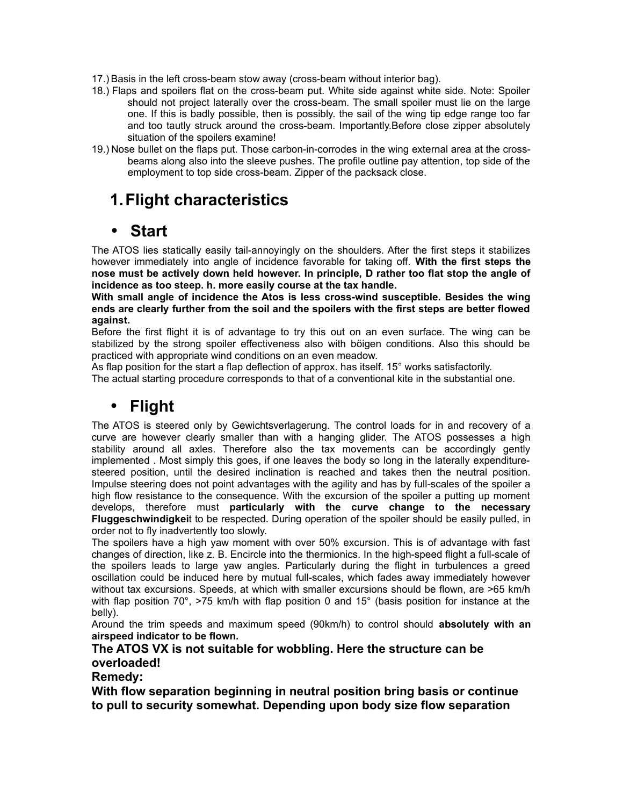- 17.) Basis in the left cross-beam stow away (cross-beam without interior bag).
- 18.) Flaps and spoilers flat on the cross-beam put. White side against white side. Note: Spoiler should not project laterally over the cross-beam. The small spoiler must lie on the large one. If this is badly possible, then is possibly. the sail of the wing tip edge range too far and too tautly struck around the cross-beam. Importantly.Before close zipper absolutely situation of the spoilers examine!
- 19.) Nose bullet on the flaps put. Those carbon-in-corrodes in the wing external area at the crossbeams along also into the sleeve pushes. The profile outline pay attention, top side of the employment to top side cross-beam. Zipper of the packsack close.

## **1.Flight characteristics**

## • **Start**

The ATOS lies statically easily tail-annoyingly on the shoulders. After the first steps it stabilizes however immediately into angle of incidence favorable for taking off. **With the first steps the nose must be actively down held however. In principle, D rather too flat stop the angle of incidence as too steep. h. more easily course at the tax handle.** 

**With small angle of incidence the Atos is less cross-wind susceptible. Besides the wing ends are clearly further from the soil and the spoilers with the first steps are better flowed against.**

Before the first flight it is of advantage to try this out on an even surface. The wing can be stabilized by the strong spoiler effectiveness also with böigen conditions. Also this should be practiced with appropriate wind conditions on an even meadow.

As flap position for the start a flap deflection of approx. has itself. 15° works satisfactorily.

The actual starting procedure corresponds to that of a conventional kite in the substantial one.

## • **Flight**

The ATOS is steered only by Gewichtsverlagerung. The control loads for in and recovery of a curve are however clearly smaller than with a hanging glider. The ATOS possesses a high stability around all axles. Therefore also the tax movements can be accordingly gently implemented . Most simply this goes, if one leaves the body so long in the laterally expendituresteered position, until the desired inclination is reached and takes then the neutral position. Impulse steering does not point advantages with the agility and has by full-scales of the spoiler a high flow resistance to the consequence. With the excursion of the spoiler a putting up moment develops, therefore must **particularly with the curve change to the necessary Fluggeschwindigkei**t to be respected. During operation of the spoiler should be easily pulled, in order not to fly inadvertently too slowly.

The spoilers have a high yaw moment with over 50% excursion. This is of advantage with fast changes of direction, like z. B. Encircle into the thermionics. In the high-speed flight a full-scale of the spoilers leads to large yaw angles. Particularly during the flight in turbulences a greed oscillation could be induced here by mutual full-scales, which fades away immediately however without tax excursions. Speeds, at which with smaller excursions should be flown, are >65 km/h with flap position 70°,  $>$ 75 km/h with flap position 0 and 15° (basis position for instance at the belly).

Around the trim speeds and maximum speed (90km/h) to control should **absolutely with an airspeed indicator to be flown.**

#### **The ATOS VX is not suitable for wobbling. Here the structure can be overloaded!**

### **Remedy:**

**With flow separation beginning in neutral position bring basis or continue to pull to security somewhat. Depending upon body size flow separation**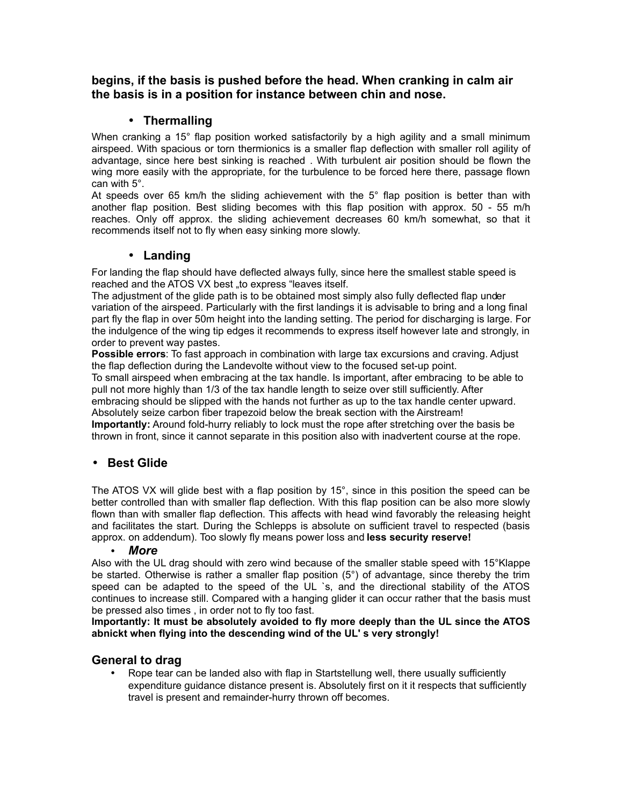#### **begins, if the basis is pushed before the head. When cranking in calm air the basis is in a position for instance between chin and nose.**

### • **Thermalling**

When cranking a 15° flap position worked satisfactorily by a high agility and a small minimum airspeed. With spacious or torn thermionics is a smaller flap deflection with smaller roll agility of advantage, since here best sinking is reached . With turbulent air position should be flown the wing more easily with the appropriate, for the turbulence to be forced here there, passage flown can with 5°.

At speeds over 65 km/h the sliding achievement with the 5° flap position is better than with another flap position. Best sliding becomes with this flap position with approx. 50 - 55 m/h reaches. Only off approx. the sliding achievement decreases 60 km/h somewhat, so that it recommends itself not to fly when easy sinking more slowly.

### • **Landing**

For landing the flap should have deflected always fully, since here the smallest stable speed is reached and the ATOS VX best "to express "leaves itself.

The adjustment of the glide path is to be obtained most simply also fully deflected flap under variation of the airspeed. Particularly with the first landings it is advisable to bring and a long final part fly the flap in over 50m height into the landing setting. The period for discharging is large. For the indulgence of the wing tip edges it recommends to express itself however late and strongly, in order to prevent way pastes.

**Possible errors**: To fast approach in combination with large tax excursions and craving. Adjust the flap deflection during the Landevolte without view to the focused set-up point.

To small airspeed when embracing at the tax handle. Is important, after embracing to be able to pull not more highly than 1/3 of the tax handle length to seize over still sufficiently. After embracing should be slipped with the hands not further as up to the tax handle center upward. Absolutely seize carbon fiber trapezoid below the break section with the Airstream!

**Importantly:** Around fold-hurry reliably to lock must the rope after stretching over the basis be thrown in front, since it cannot separate in this position also with inadvertent course at the rope.

### • **Best Glide**

The ATOS VX will glide best with a flap position by 15°, since in this position the speed can be better controlled than with smaller flap deflection. With this flap position can be also more slowly flown than with smaller flap deflection. This affects with head wind favorably the releasing height and facilitates the start. During the Schlepps is absolute on sufficient travel to respected (basis approx. on addendum). Too slowly fly means power loss and **less security reserve!**

#### • *More*

Also with the UL drag should with zero wind because of the smaller stable speed with 15°Klappe be started. Otherwise is rather a smaller flap position (5°) of advantage, since thereby the trim speed can be adapted to the speed of the UL `s, and the directional stability of the ATOS continues to increase still. Compared with a hanging glider it can occur rather that the basis must be pressed also times , in order not to fly too fast.

**Importantly: It must be absolutely avoided to fly more deeply than the UL since the ATOS abnickt when flying into the descending wind of the UL' s very strongly!**

### **General to drag**

• Rope tear can be landed also with flap in Startstellung well, there usually sufficiently expenditure guidance distance present is. Absolutely first on it it respects that sufficiently travel is present and remainder-hurry thrown off becomes.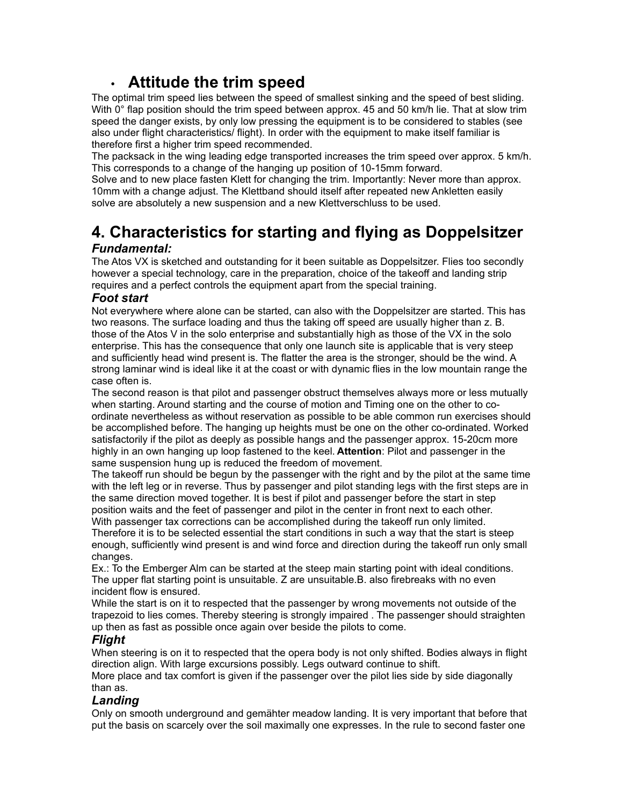## • **Attitude the trim speed**

The optimal trim speed lies between the speed of smallest sinking and the speed of best sliding. With 0° flap position should the trim speed between approx. 45 and 50 km/h lie. That at slow trim speed the danger exists, by only low pressing the equipment is to be considered to stables (see also under flight characteristics/ flight). In order with the equipment to make itself familiar is therefore first a higher trim speed recommended.

The packsack in the wing leading edge transported increases the trim speed over approx. 5 km/h. This corresponds to a change of the hanging up position of 10-15mm forward.

Solve and to new place fasten Klett for changing the trim. Importantly: Never more than approx. 10mm with a change adjust. The Klettband should itself after repeated new Ankletten easily solve are absolutely a new suspension and a new Klettverschluss to be used.

## **4. Characteristics for starting and flying as Doppelsitzer** *Fundamental:*

The Atos VX is sketched and outstanding for it been suitable as Doppelsitzer. Flies too secondly however a special technology, care in the preparation, choice of the takeoff and landing strip requires and a perfect controls the equipment apart from the special training.

#### *Foot start*

Not everywhere where alone can be started, can also with the Doppelsitzer are started. This has two reasons. The surface loading and thus the taking off speed are usually higher than z. B. those of the Atos V in the solo enterprise and substantially high as those of the VX in the solo enterprise. This has the consequence that only one launch site is applicable that is very steep and sufficiently head wind present is. The flatter the area is the stronger, should be the wind. A strong laminar wind is ideal like it at the coast or with dynamic flies in the low mountain range the case often is.

The second reason is that pilot and passenger obstruct themselves always more or less mutually when starting. Around starting and the course of motion and Timing one on the other to coordinate nevertheless as without reservation as possible to be able common run exercises should be accomplished before. The hanging up heights must be one on the other co-ordinated. Worked satisfactorily if the pilot as deeply as possible hangs and the passenger approx. 15-20cm more highly in an own hanging up loop fastened to the keel. **Attention**: Pilot and passenger in the same suspension hung up is reduced the freedom of movement.

The takeoff run should be begun by the passenger with the right and by the pilot at the same time with the left leg or in reverse. Thus by passenger and pilot standing legs with the first steps are in the same direction moved together. It is best if pilot and passenger before the start in step position waits and the feet of passenger and pilot in the center in front next to each other. With passenger tax corrections can be accomplished during the takeoff run only limited.

Therefore it is to be selected essential the start conditions in such a way that the start is steep enough, sufficiently wind present is and wind force and direction during the takeoff run only small changes.

Ex.: To the Emberger Alm can be started at the steep main starting point with ideal conditions. The upper flat starting point is unsuitable. Z are unsuitable.B. also firebreaks with no even incident flow is ensured.

While the start is on it to respected that the passenger by wrong movements not outside of the trapezoid to lies comes. Thereby steering is strongly impaired . The passenger should straighten up then as fast as possible once again over beside the pilots to come.

#### *Flight*

When steering is on it to respected that the opera body is not only shifted. Bodies always in flight direction align. With large excursions possibly. Legs outward continue to shift.

More place and tax comfort is given if the passenger over the pilot lies side by side diagonally than as.

#### *Landing*

Only on smooth underground and gemähter meadow landing. It is very important that before that put the basis on scarcely over the soil maximally one expresses. In the rule to second faster one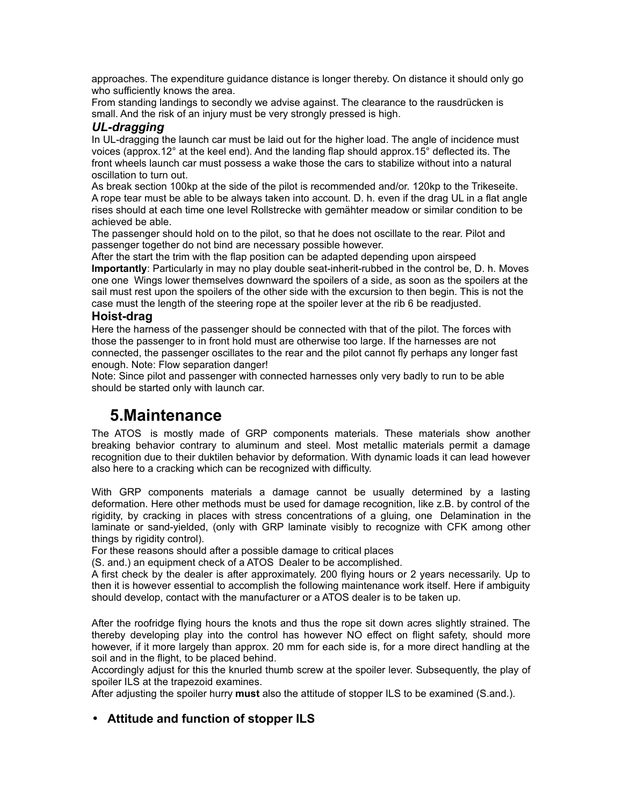approaches. The expenditure guidance distance is longer thereby. On distance it should only go who sufficiently knows the area.

From standing landings to secondly we advise against. The clearance to the rausdrücken is small. And the risk of an injury must be very strongly pressed is high.

#### *UL-dragging*

In UL-dragging the launch car must be laid out for the higher load. The angle of incidence must voices (approx.12° at the keel end). And the landing flap should approx.15° deflected its. The front wheels launch car must possess a wake those the cars to stabilize without into a natural oscillation to turn out.

As break section 100kp at the side of the pilot is recommended and/or. 120kp to the Trikeseite. A rope tear must be able to be always taken into account. D. h. even if the drag UL in a flat angle rises should at each time one level Rollstrecke with gemähter meadow or similar condition to be achieved be able.

The passenger should hold on to the pilot, so that he does not oscillate to the rear. Pilot and passenger together do not bind are necessary possible however.

After the start the trim with the flap position can be adapted depending upon airspeed **Importantly**: Particularly in may no play double seat-inherit-rubbed in the control be, D. h. Moves one one Wings lower themselves downward the spoilers of a side, as soon as the spoilers at the sail must rest upon the spoilers of the other side with the excursion to then begin. This is not the case must the length of the steering rope at the spoiler lever at the rib 6 be readjusted.

#### **Hoist-drag**

Here the harness of the passenger should be connected with that of the pilot. The forces with those the passenger to in front hold must are otherwise too large. If the harnesses are not connected, the passenger oscillates to the rear and the pilot cannot fly perhaps any longer fast enough. Note: Flow separation danger!

Note: Since pilot and passenger with connected harnesses only very badly to run to be able should be started only with launch car.

## **5.Maintenance**

The ATOS is mostly made of GRP components materials. These materials show another breaking behavior contrary to aluminum and steel. Most metallic materials permit a damage recognition due to their duktilen behavior by deformation. With dynamic loads it can lead however also here to a cracking which can be recognized with difficulty.

With GRP components materials a damage cannot be usually determined by a lasting deformation. Here other methods must be used for damage recognition, like z.B. by control of the rigidity, by cracking in places with stress concentrations of a gluing, one Delamination in the laminate or sand-yielded, (only with GRP laminate visibly to recognize with CFK among other things by rigidity control).

For these reasons should after a possible damage to critical places

(S. and.) an equipment check of a ATOS Dealer to be accomplished.

A first check by the dealer is after approximately. 200 flying hours or 2 years necessarily. Up to then it is however essential to accomplish the following maintenance work itself. Here if ambiguity should develop, contact with the manufacturer or a ATOS dealer is to be taken up.

After the roofridge flying hours the knots and thus the rope sit down acres slightly strained. The thereby developing play into the control has however NO effect on flight safety, should more however, if it more largely than approx. 20 mm for each side is, for a more direct handling at the soil and in the flight, to be placed behind.

Accordingly adjust for this the knurled thumb screw at the spoiler lever. Subsequently, the play of spoiler ILS at the trapezoid examines.

After adjusting the spoiler hurry **must** also the attitude of stopper ILS to be examined (S.and.).

#### • **Attitude and function of stopper ILS**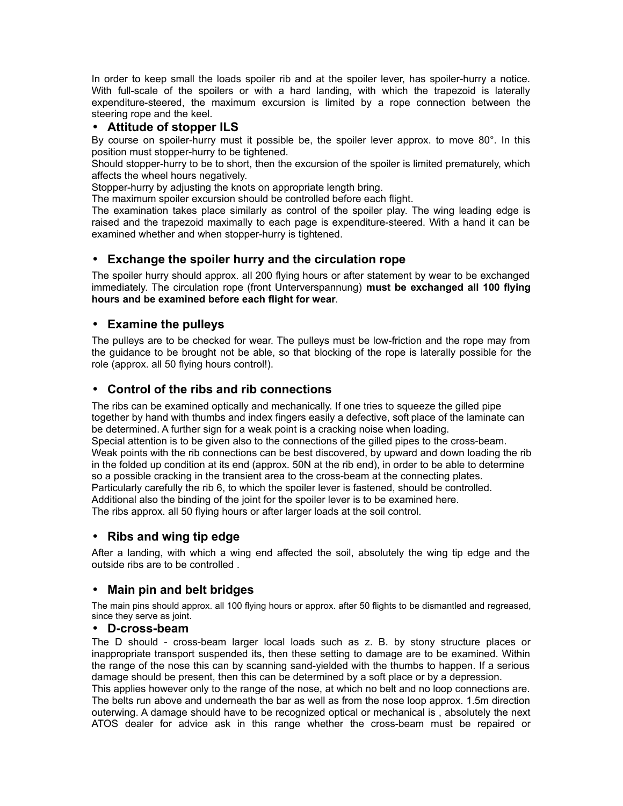In order to keep small the loads spoiler rib and at the spoiler lever, has spoiler-hurry a notice. With full-scale of the spoilers or with a hard landing, with which the trapezoid is laterally expenditure-steered, the maximum excursion is limited by a rope connection between the steering rope and the keel.

#### • **Attitude of stopper ILS**

By course on spoiler-hurry must it possible be, the spoiler lever approx. to move 80°. In this position must stopper-hurry to be tightened.

Should stopper-hurry to be to short, then the excursion of the spoiler is limited prematurely, which affects the wheel hours negatively.

Stopper-hurry by adjusting the knots on appropriate length bring.

The maximum spoiler excursion should be controlled before each flight.

The examination takes place similarly as control of the spoiler play. The wing leading edge is raised and the trapezoid maximally to each page is expenditure-steered. With a hand it can be examined whether and when stopper-hurry is tightened.

#### • **Exchange the spoiler hurry and the circulation rope**

The spoiler hurry should approx. all 200 flying hours or after statement by wear to be exchanged immediately. The circulation rope (front Unterverspannung) **must be exchanged all 100 flying hours and be examined before each flight for wear**.

#### • **Examine the pulleys**

The pulleys are to be checked for wear. The pulleys must be low-friction and the rope may from the guidance to be brought not be able, so that blocking of the rope is laterally possible for the role (approx. all 50 flying hours control!).

#### • **Control of the ribs and rib connections**

The ribs can be examined optically and mechanically. If one tries to squeeze the gilled pipe together by hand with thumbs and index fingers easily a defective, soft place of the laminate can be determined. A further sign for a weak point is a cracking noise when loading. Special attention is to be given also to the connections of the gilled pipes to the cross-beam. Weak points with the rib connections can be best discovered, by upward and down loading the rib in the folded up condition at its end (approx. 50N at the rib end), in order to be able to determine so a possible cracking in the transient area to the cross-beam at the connecting plates. Particularly carefully the rib 6, to which the spoiler lever is fastened, should be controlled. Additional also the binding of the joint for the spoiler lever is to be examined here. The ribs approx. all 50 flying hours or after larger loads at the soil control.

#### • **Ribs and wing tip edge**

After a landing, with which a wing end affected the soil, absolutely the wing tip edge and the outside ribs are to be controlled .

#### • **Main pin and belt bridges**

The main pins should approx. all 100 flying hours or approx. after 50 flights to be dismantled and regreased, since they serve as joint.

#### • **D-cross-beam**

The D should - cross-beam larger local loads such as z. B. by stony structure places or inappropriate transport suspended its, then these setting to damage are to be examined. Within the range of the nose this can by scanning sand-yielded with the thumbs to happen. If a serious damage should be present, then this can be determined by a soft place or by a depression.

This applies however only to the range of the nose, at which no belt and no loop connections are. The belts run above and underneath the bar as well as from the nose loop approx. 1.5m direction outerwing. A damage should have to be recognized optical or mechanical is , absolutely the next ATOS dealer for advice ask in this range whether the cross-beam must be repaired or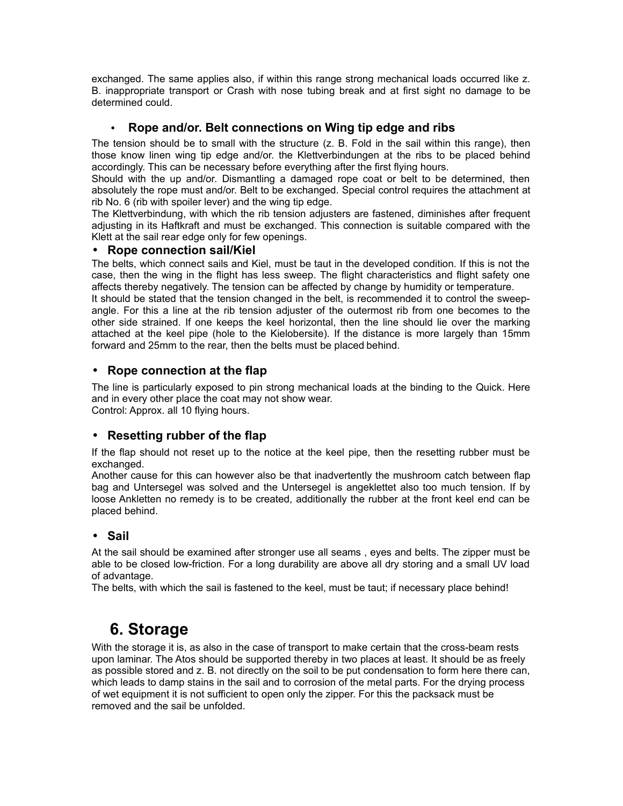exchanged. The same applies also, if within this range strong mechanical loads occurred like z. B. inappropriate transport or Crash with nose tubing break and at first sight no damage to be determined could.

### • **Rope and/or. Belt connections on Wing tip edge and ribs**

The tension should be to small with the structure (z. B. Fold in the sail within this range), then those know linen wing tip edge and/or. the Klettverbindungen at the ribs to be placed behind accordingly. This can be necessary before everything after the first flying hours.

Should with the up and/or. Dismantling a damaged rope coat or belt to be determined, then absolutely the rope must and/or. Belt to be exchanged. Special control requires the attachment at rib No. 6 (rib with spoiler lever) and the wing tip edge.

The Klettverbindung, with which the rib tension adjusters are fastened, diminishes after frequent adjusting in its Haftkraft and must be exchanged. This connection is suitable compared with the Klett at the sail rear edge only for few openings.

#### • **Rope connection sail/Kiel**

The belts, which connect sails and Kiel, must be taut in the developed condition. If this is not the case, then the wing in the flight has less sweep. The flight characteristics and flight safety one affects thereby negatively. The tension can be affected by change by humidity or temperature.

It should be stated that the tension changed in the belt, is recommended it to control the sweepangle. For this a line at the rib tension adjuster of the outermost rib from one becomes to the other side strained. If one keeps the keel horizontal, then the line should lie over the marking attached at the keel pipe (hole to the Kielobersite). If the distance is more largely than 15mm forward and 25mm to the rear, then the belts must be placed behind.

#### • **Rope connection at the flap**

The line is particularly exposed to pin strong mechanical loads at the binding to the Quick. Here and in every other place the coat may not show wear. Control: Approx. all 10 flying hours.

### • **Resetting rubber of the flap**

If the flap should not reset up to the notice at the keel pipe, then the resetting rubber must be exchanged.

Another cause for this can however also be that inadvertently the mushroom catch between flap bag and Untersegel was solved and the Untersegel is angeklettet also too much tension. If by loose Ankletten no remedy is to be created, additionally the rubber at the front keel end can be placed behind.

### • **Sail**

At the sail should be examined after stronger use all seams , eyes and belts. The zipper must be able to be closed low-friction. For a long durability are above all dry storing and a small UV load of advantage.

The belts, with which the sail is fastened to the keel, must be taut; if necessary place behind!

## **6. Storage**

With the storage it is, as also in the case of transport to make certain that the cross-beam rests upon laminar. The Atos should be supported thereby in two places at least. It should be as freely as possible stored and z. B. not directly on the soil to be put condensation to form here there can, which leads to damp stains in the sail and to corrosion of the metal parts. For the drying process of wet equipment it is not sufficient to open only the zipper. For this the packsack must be removed and the sail be unfolded.